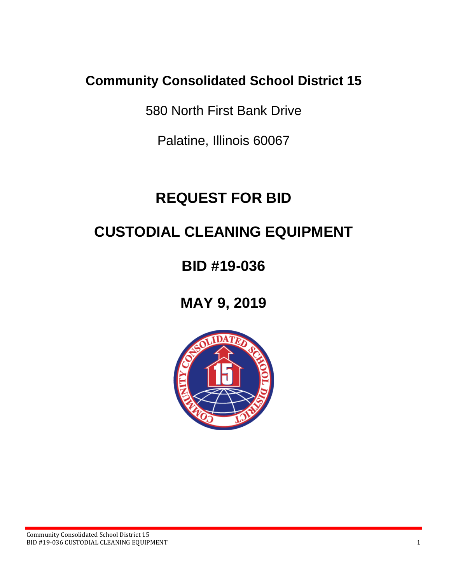# **Community Consolidated School District 15**

580 North First Bank Drive

Palatine, Illinois 60067

# **REQUEST FOR BID**

# **CUSTODIAL CLEANING EQUIPMENT**

**BID #19-036**

**MAY 9, 2019**

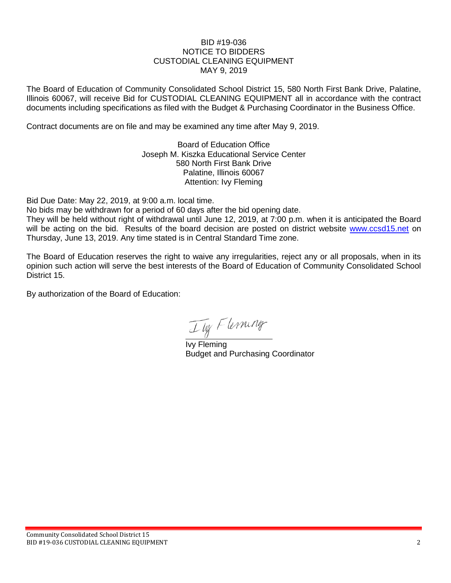#### BID #19-036 NOTICE TO BIDDERS CUSTODIAL CLEANING EQUIPMENT MAY 9, 2019

The Board of Education of Community Consolidated School District 15, 580 North First Bank Drive, Palatine, Illinois 60067, will receive Bid for CUSTODIAL CLEANING EQUIPMENT all in accordance with the contract documents including specifications as filed with the Budget & Purchasing Coordinator in the Business Office.

Contract documents are on file and may be examined any time after May 9, 2019.

Board of Education Office Joseph M. Kiszka Educational Service Center 580 North First Bank Drive Palatine, Illinois 60067 Attention: Ivy Fleming

Bid Due Date: May 22, 2019, at 9:00 a.m. local time.

No bids may be withdrawn for a period of 60 days after the bid opening date.

They will be held without right of withdrawal until June 12, 2019, at 7:00 p.m. when it is anticipated the Board will be acting on the bid. Results of the board decision are posted on district website [www.ccsd15.net](http://www.ccsd15.net/) on Thursday, June 13, 2019. Any time stated is in Central Standard Time zone.

The Board of Education reserves the right to waive any irregularities, reject any or all proposals, when in its opinion such action will serve the best interests of the Board of Education of Community Consolidated School District 15.

By authorization of the Board of Education:

Ily Flerning

Ivy Fleming Budget and Purchasing Coordinator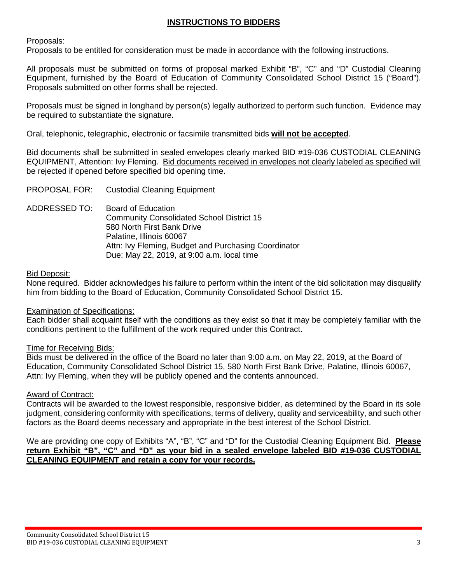# **INSTRUCTIONS TO BIDDERS**

# Proposals:

Proposals to be entitled for consideration must be made in accordance with the following instructions.

All proposals must be submitted on forms of proposal marked Exhibit "B", "C" and "D" Custodial Cleaning Equipment, furnished by the Board of Education of Community Consolidated School District 15 ("Board"). Proposals submitted on other forms shall be rejected.

Proposals must be signed in longhand by person(s) legally authorized to perform such function. Evidence may be required to substantiate the signature.

Oral, telephonic, telegraphic, electronic or facsimile transmitted bids **will not be accepted**.

Bid documents shall be submitted in sealed envelopes clearly marked BID #19-036 CUSTODIAL CLEANING EQUIPMENT, Attention: Ivy Fleming. Bid documents received in envelopes not clearly labeled as specified will be rejected if opened before specified bid opening time.

PROPOSAL FOR: Custodial Cleaning Equipment

ADDRESSED TO: Board of Education Community Consolidated School District 15 580 North First Bank Drive Palatine, Illinois 60067 Attn: Ivy Fleming, Budget and Purchasing Coordinator Due: May 22, 2019, at 9:00 a.m. local time

## Bid Deposit:

None required. Bidder acknowledges his failure to perform within the intent of the bid solicitation may disqualify him from bidding to the Board of Education, Community Consolidated School District 15.

## Examination of Specifications:

Each bidder shall acquaint itself with the conditions as they exist so that it may be completely familiar with the conditions pertinent to the fulfillment of the work required under this Contract.

## Time for Receiving Bids:

Bids must be delivered in the office of the Board no later than 9:00 a.m. on May 22, 2019, at the Board of Education, Community Consolidated School District 15, 580 North First Bank Drive, Palatine, Illinois 60067, Attn: Ivy Fleming, when they will be publicly opened and the contents announced.

## Award of Contract:

Contracts will be awarded to the lowest responsible, responsive bidder, as determined by the Board in its sole judgment, considering conformity with specifications, terms of delivery, quality and serviceability, and such other factors as the Board deems necessary and appropriate in the best interest of the School District.

We are providing one copy of Exhibits "A", "B", "C" and "D" for the Custodial Cleaning Equipment Bid. **Please return Exhibit "B", "C" and "D" as your bid in a sealed envelope labeled BID #19-036 CUSTODIAL CLEANING EQUIPMENT and retain a copy for your records.**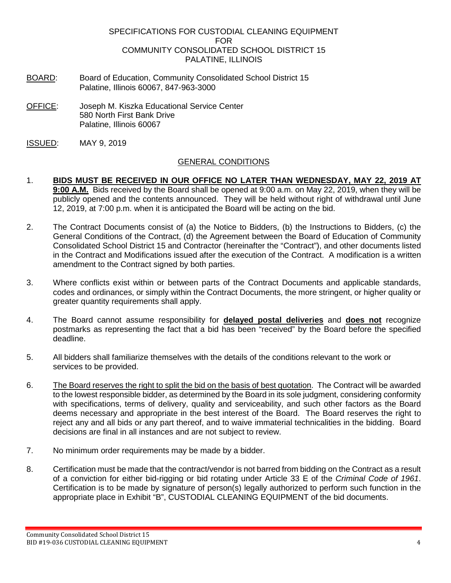#### SPECIFICATIONS FOR CUSTODIAL CLEANING EQUIPMENT FOR COMMUNITY CONSOLIDATED SCHOOL DISTRICT 15 PALATINE, ILLINOIS

- BOARD: Board of Education, Community Consolidated School District 15 Palatine, Illinois 60067, 847-963-3000
- OFFICE: Joseph M. Kiszka Educational Service Center 580 North First Bank Drive Palatine, Illinois 60067
- ISSUED: MAY 9, 2019

# GENERAL CONDITIONS

- 1. **BIDS MUST BE RECEIVED IN OUR OFFICE NO LATER THAN WEDNESDAY, MAY 22, 2019 AT 9:00 A.M.** Bids received by the Board shall be opened at 9:00 a.m. on May 22, 2019, when they will be publicly opened and the contents announced. They will be held without right of withdrawal until June 12, 2019, at 7:00 p.m. when it is anticipated the Board will be acting on the bid.
- 2. The Contract Documents consist of (a) the Notice to Bidders, (b) the Instructions to Bidders, (c) the General Conditions of the Contract, (d) the Agreement between the Board of Education of Community Consolidated School District 15 and Contractor (hereinafter the "Contract"), and other documents listed in the Contract and Modifications issued after the execution of the Contract. A modification is a written amendment to the Contract signed by both parties.
- 3. Where conflicts exist within or between parts of the Contract Documents and applicable standards, codes and ordinances, or simply within the Contract Documents, the more stringent, or higher quality or greater quantity requirements shall apply.
- 4. The Board cannot assume responsibility for **delayed postal deliveries** and **does not** recognize postmarks as representing the fact that a bid has been "received" by the Board before the specified deadline.
- 5. All bidders shall familiarize themselves with the details of the conditions relevant to the work or services to be provided.
- 6. The Board reserves the right to split the bid on the basis of best quotation. The Contract will be awarded to the lowest responsible bidder, as determined by the Board in its sole judgment, considering conformity with specifications, terms of delivery, quality and serviceability, and such other factors as the Board deems necessary and appropriate in the best interest of the Board. The Board reserves the right to reject any and all bids or any part thereof, and to waive immaterial technicalities in the bidding. Board decisions are final in all instances and are not subject to review.
- 7. No minimum order requirements may be made by a bidder.
- 8. Certification must be made that the contract/vendor is not barred from bidding on the Contract as a result of a conviction for either bid-rigging or bid rotating under Article 33 E of the *Criminal Code of 1961*. Certification is to be made by signature of person(s) legally authorized to perform such function in the appropriate place in Exhibit "B", CUSTODIAL CLEANING EQUIPMENT of the bid documents.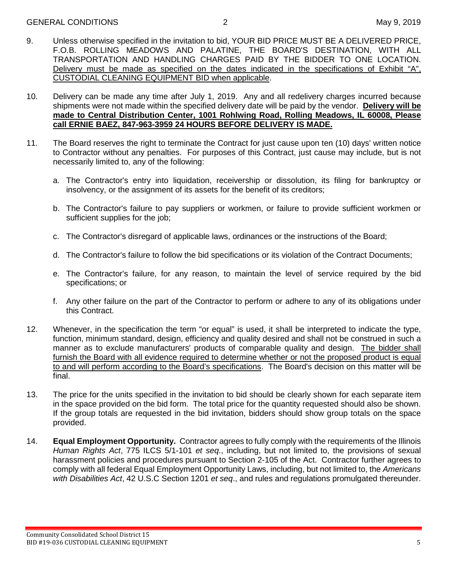- 9. Unless otherwise specified in the invitation to bid, YOUR BID PRICE MUST BE A DELIVERED PRICE, F.O.B. ROLLING MEADOWS AND PALATINE, THE BOARD'S DESTINATION, WITH ALL TRANSPORTATION AND HANDLING CHARGES PAID BY THE BIDDER TO ONE LOCATION. Delivery must be made as specified on the dates indicated in the specifications of Exhibit "A", CUSTODIAL CLEANING EQUIPMENT BID when applicable.
- 10. Delivery can be made any time after July 1, 2019. Any and all redelivery charges incurred because shipments were not made within the specified delivery date will be paid by the vendor. **Delivery will be made to Central Distribution Center, 1001 Rohlwing Road, Rolling Meadows, IL 60008, Please call ERNIE BAEZ, 847-963-3959 24 HOURS BEFORE DELIVERY IS MADE.**
- 11. The Board reserves the right to terminate the Contract for just cause upon ten (10) days' written notice to Contractor without any penalties. For purposes of this Contract, just cause may include, but is not necessarily limited to, any of the following:
	- a. The Contractor's entry into liquidation, receivership or dissolution, its filing for bankruptcy or insolvency, or the assignment of its assets for the benefit of its creditors;
	- b. The Contractor's failure to pay suppliers or workmen, or failure to provide sufficient workmen or sufficient supplies for the job;
	- c. The Contractor's disregard of applicable laws, ordinances or the instructions of the Board;
	- d. The Contractor's failure to follow the bid specifications or its violation of the Contract Documents;
	- e. The Contractor's failure, for any reason, to maintain the level of service required by the bid specifications; or
	- f. Any other failure on the part of the Contractor to perform or adhere to any of its obligations under this Contract.
- 12. Whenever, in the specification the term "or equal" is used, it shall be interpreted to indicate the type, function, minimum standard, design, efficiency and quality desired and shall not be construed in such a manner as to exclude manufacturers' products of comparable quality and design. The bidder shall furnish the Board with all evidence required to determine whether or not the proposed product is equal to and will perform according to the Board's specifications. The Board's decision on this matter will be final.
- 13. The price for the units specified in the invitation to bid should be clearly shown for each separate item in the space provided on the bid form. The total price for the quantity requested should also be shown. If the group totals are requested in the bid invitation, bidders should show group totals on the space provided.
- 14. **Equal Employment Opportunity.** Contractor agrees to fully comply with the requirements of the Illinois *Human Rights Act*, 775 ILCS 5/1-101 *et seq*., including, but not limited to, the provisions of sexual harassment policies and procedures pursuant to Section 2-105 of the Act. Contractor further agrees to comply with all federal Equal Employment Opportunity Laws, including, but not limited to, the *Americans with Disabilities Act*, 42 U.S.C Section 1201 *et seq*., and rules and regulations promulgated thereunder.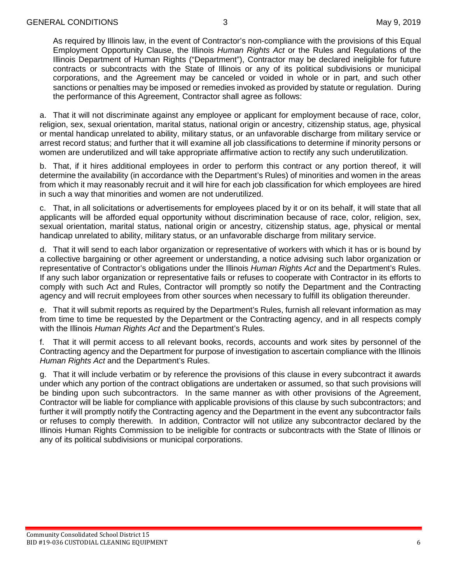As required by Illinois law, in the event of Contractor's non-compliance with the provisions of this Equal Employment Opportunity Clause, the Illinois *Human Rights Act* or the Rules and Regulations of the Illinois Department of Human Rights ("Department"), Contractor may be declared ineligible for future contracts or subcontracts with the State of Illinois or any of its political subdivisions or municipal corporations, and the Agreement may be canceled or voided in whole or in part, and such other sanctions or penalties may be imposed or remedies invoked as provided by statute or regulation. During the performance of this Agreement, Contractor shall agree as follows:

a. That it will not discriminate against any employee or applicant for employment because of race, color, religion, sex, sexual orientation, marital status, national origin or ancestry, citizenship status, age, physical or mental handicap unrelated to ability, military status, or an unfavorable discharge from military service or arrest record status; and further that it will examine all job classifications to determine if minority persons or women are underutilized and will take appropriate affirmative action to rectify any such underutilization.

b. That, if it hires additional employees in order to perform this contract or any portion thereof, it will determine the availability (in accordance with the Department's Rules) of minorities and women in the areas from which it may reasonably recruit and it will hire for each job classification for which employees are hired in such a way that minorities and women are not underutilized.

c. That, in all solicitations or advertisements for employees placed by it or on its behalf, it will state that all applicants will be afforded equal opportunity without discrimination because of race, color, religion, sex, sexual orientation, marital status, national origin or ancestry, citizenship status, age, physical or mental handicap unrelated to ability, military status, or an unfavorable discharge from military service.

d. That it will send to each labor organization or representative of workers with which it has or is bound by a collective bargaining or other agreement or understanding, a notice advising such labor organization or representative of Contractor's obligations under the Illinois *Human Rights Act* and the Department's Rules. If any such labor organization or representative fails or refuses to cooperate with Contractor in its efforts to comply with such Act and Rules, Contractor will promptly so notify the Department and the Contracting agency and will recruit employees from other sources when necessary to fulfill its obligation thereunder.

e. That it will submit reports as required by the Department's Rules, furnish all relevant information as may from time to time be requested by the Department or the Contracting agency, and in all respects comply with the Illinois *Human Rights Act* and the Department's Rules.

f. That it will permit access to all relevant books, records, accounts and work sites by personnel of the Contracting agency and the Department for purpose of investigation to ascertain compliance with the Illinois *Human Rights Act* and the Department's Rules.

g. That it will include verbatim or by reference the provisions of this clause in every subcontract it awards under which any portion of the contract obligations are undertaken or assumed, so that such provisions will be binding upon such subcontractors. In the same manner as with other provisions of the Agreement, Contractor will be liable for compliance with applicable provisions of this clause by such subcontractors; and further it will promptly notify the Contracting agency and the Department in the event any subcontractor fails or refuses to comply therewith. In addition, Contractor will not utilize any subcontractor declared by the Illinois Human Rights Commission to be ineligible for contracts or subcontracts with the State of Illinois or any of its political subdivisions or municipal corporations.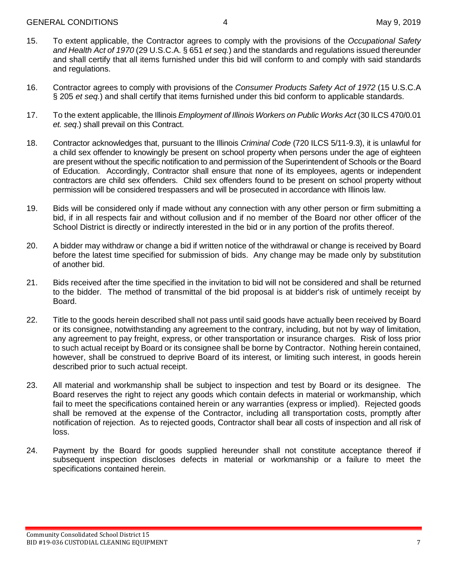- 15. To extent applicable, the Contractor agrees to comply with the provisions of the *Occupational Safety and Health Act of 1970* (29 U.S.C.A. § 651 *et seq.*) and the standards and regulations issued thereunder and shall certify that all items furnished under this bid will conform to and comply with said standards and regulations.
- 16. Contractor agrees to comply with provisions of the *Consumer Products Safety Act of 1972* (15 U.S.C.A § 205 *et seq.*) and shall certify that items furnished under this bid conform to applicable standards.
- 17. To the extent applicable, the Illinois *Employment of Illinois Workers on Public Works Act* (30 ILCS 470/0.01 *et. seq*.) shall prevail on this Contract.
- 18. Contractor acknowledges that, pursuant to the Illinois *Criminal Code* (720 ILCS 5/11-9.3), it is unlawful for a child sex offender to knowingly be present on school property when persons under the age of eighteen are present without the specific notification to and permission of the Superintendent of Schools or the Board of Education. Accordingly, Contractor shall ensure that none of its employees, agents or independent contractors are child sex offenders. Child sex offenders found to be present on school property without permission will be considered trespassers and will be prosecuted in accordance with Illinois law.
- 19. Bids will be considered only if made without any connection with any other person or firm submitting a bid, if in all respects fair and without collusion and if no member of the Board nor other officer of the School District is directly or indirectly interested in the bid or in any portion of the profits thereof.
- 20. A bidder may withdraw or change a bid if written notice of the withdrawal or change is received by Board before the latest time specified for submission of bids. Any change may be made only by substitution of another bid.
- 21. Bids received after the time specified in the invitation to bid will not be considered and shall be returned to the bidder. The method of transmittal of the bid proposal is at bidder's risk of untimely receipt by Board.
- 22. Title to the goods herein described shall not pass until said goods have actually been received by Board or its consignee, notwithstanding any agreement to the contrary, including, but not by way of limitation, any agreement to pay freight, express, or other transportation or insurance charges. Risk of loss prior to such actual receipt by Board or its consignee shall be borne by Contractor. Nothing herein contained, however, shall be construed to deprive Board of its interest, or limiting such interest, in goods herein described prior to such actual receipt.
- 23. All material and workmanship shall be subject to inspection and test by Board or its designee. The Board reserves the right to reject any goods which contain defects in material or workmanship, which fail to meet the specifications contained herein or any warranties (express or implied). Rejected goods shall be removed at the expense of the Contractor, including all transportation costs, promptly after notification of rejection. As to rejected goods, Contractor shall bear all costs of inspection and all risk of loss.
- 24. Payment by the Board for goods supplied hereunder shall not constitute acceptance thereof if subsequent inspection discloses defects in material or workmanship or a failure to meet the specifications contained herein.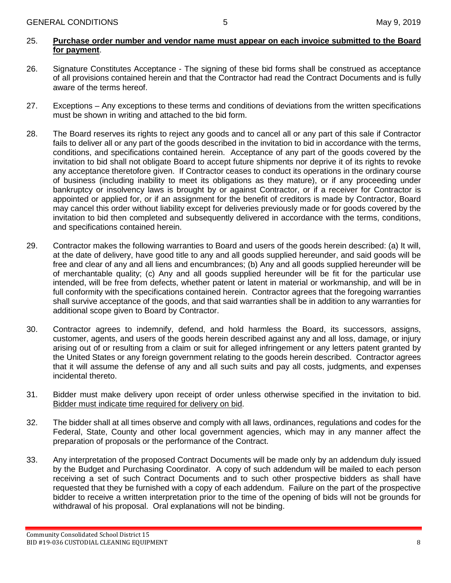# 25. **Purchase order number and vendor name must appear on each invoice submitted to the Board for payment**.

- 26. Signature Constitutes Acceptance The signing of these bid forms shall be construed as acceptance of all provisions contained herein and that the Contractor had read the Contract Documents and is fully aware of the terms hereof.
- 27. Exceptions Any exceptions to these terms and conditions of deviations from the written specifications must be shown in writing and attached to the bid form.
- 28. The Board reserves its rights to reject any goods and to cancel all or any part of this sale if Contractor fails to deliver all or any part of the goods described in the invitation to bid in accordance with the terms, conditions, and specifications contained herein. Acceptance of any part of the goods covered by the invitation to bid shall not obligate Board to accept future shipments nor deprive it of its rights to revoke any acceptance theretofore given. If Contractor ceases to conduct its operations in the ordinary course of business (including inability to meet its obligations as they mature), or if any proceeding under bankruptcy or insolvency laws is brought by or against Contractor, or if a receiver for Contractor is appointed or applied for, or if an assignment for the benefit of creditors is made by Contractor, Board may cancel this order without liability except for deliveries previously made or for goods covered by the invitation to bid then completed and subsequently delivered in accordance with the terms, conditions, and specifications contained herein.
- 29. Contractor makes the following warranties to Board and users of the goods herein described: (a) It will, at the date of delivery, have good title to any and all goods supplied hereunder, and said goods will be free and clear of any and all liens and encumbrances; (b) Any and all goods supplied hereunder will be of merchantable quality; (c) Any and all goods supplied hereunder will be fit for the particular use intended, will be free from defects, whether patent or latent in material or workmanship, and will be in full conformity with the specifications contained herein. Contractor agrees that the foregoing warranties shall survive acceptance of the goods, and that said warranties shall be in addition to any warranties for additional scope given to Board by Contractor.
- 30. Contractor agrees to indemnify, defend, and hold harmless the Board, its successors, assigns, customer, agents, and users of the goods herein described against any and all loss, damage, or injury arising out of or resulting from a claim or suit for alleged infringement or any letters patent granted by the United States or any foreign government relating to the goods herein described. Contractor agrees that it will assume the defense of any and all such suits and pay all costs, judgments, and expenses incidental thereto.
- 31. Bidder must make delivery upon receipt of order unless otherwise specified in the invitation to bid. Bidder must indicate time required for delivery on bid.
- 32. The bidder shall at all times observe and comply with all laws, ordinances, regulations and codes for the Federal, State, County and other local government agencies, which may in any manner affect the preparation of proposals or the performance of the Contract.
- 33. Any interpretation of the proposed Contract Documents will be made only by an addendum duly issued by the Budget and Purchasing Coordinator. A copy of such addendum will be mailed to each person receiving a set of such Contract Documents and to such other prospective bidders as shall have requested that they be furnished with a copy of each addendum. Failure on the part of the prospective bidder to receive a written interpretation prior to the time of the opening of bids will not be grounds for withdrawal of his proposal. Oral explanations will not be binding.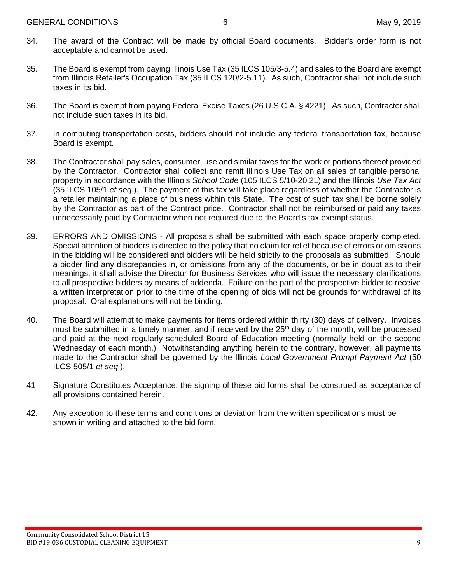- 34. The award of the Contract will be made by official Board documents. Bidder's order form is not acceptable and cannot be used.
- 35. The Board is exempt from paying Illinois Use Tax (35 ILCS 105/3-5.4) and sales to the Board are exempt from Illinois Retailer's Occupation Tax (35 ILCS 120/2-5.11). As such, Contractor shall not include such taxes in its bid.
- 36. The Board is exempt from paying Federal Excise Taxes (26 U.S.C.A. § 4221). As such, Contractor shall not include such taxes in its bid.
- 37. In computing transportation costs, bidders should not include any federal transportation tax, because Board is exempt.
- 38. The Contractor shall pay sales, consumer, use and similar taxes for the work or portions thereof provided by the Contractor. Contractor shall collect and remit Illinois Use Tax on all sales of tangible personal property in accordance with the Illinois *School Code* (105 ILCS 5/10-20.21) and the Illinois *Use Tax Act* (35 ILCS 105/1 *et seq*.). The payment of this tax will take place regardless of whether the Contractor is a retailer maintaining a place of business within this State. The cost of such tax shall be borne solely by the Contractor as part of the Contract price. Contractor shall not be reimbursed or paid any taxes unnecessarily paid by Contractor when not required due to the Board's tax exempt status.
- 39. ERRORS AND OMISSIONS All proposals shall be submitted with each space properly completed. Special attention of bidders is directed to the policy that no claim for relief because of errors or omissions in the bidding will be considered and bidders will be held strictly to the proposals as submitted. Should a bidder find any discrepancies in, or omissions from any of the documents, or be in doubt as to their meanings, it shall advise the Director for Business Services who will issue the necessary clarifications to all prospective bidders by means of addenda. Failure on the part of the prospective bidder to receive a written interpretation prior to the time of the opening of bids will not be grounds for withdrawal of its proposal. Oral explanations will not be binding.
- 40. The Board will attempt to make payments for items ordered within thirty (30) days of delivery. Invoices must be submitted in a timely manner, and if received by the 25<sup>th</sup> day of the month, will be processed and paid at the next regularly scheduled Board of Education meeting (normally held on the second Wednesday of each month.) Notwithstanding anything herein to the contrary, however, all payments made to the Contractor shall be governed by the Illinois *Local Government Prompt Payment Act* (50 ILCS 505/1 *et seq*.).
- 41 Signature Constitutes Acceptance; the signing of these bid forms shall be construed as acceptance of all provisions contained herein.
- 42. Any exception to these terms and conditions or deviation from the written specifications must be shown in writing and attached to the bid form.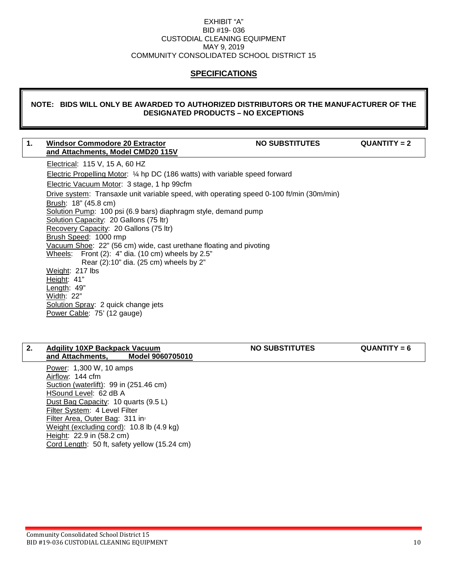#### EXHIBIT "A" BID #19- 036 CUSTODIAL CLEANING EQUIPMENT MAY 9, 2019 COMMUNITY CONSOLIDATED SCHOOL DISTRICT 15

# **SPECIFICATIONS**

#### **NOTE: BIDS WILL ONLY BE AWARDED TO AUTHORIZED DISTRIBUTORS OR THE MANUFACTURER OF THE DESIGNATED PRODUCTS – NO EXCEPTIONS**

#### 1. Windsor Commodore 20 Extractor **NO SUBSTITUTES** QUANTITY = 2 **and Attachments, Model CMD20 115V**

Electrical: 115 V, 15 A, 60 HZ Electric Propelling Motor: ¼ hp DC (186 watts) with variable speed forward Electric Vacuum Motor: 3 stage, 1 hp 99cfm Drive system: Transaxle unit variable speed, with operating speed 0-100 ft/min (30m/min) Brush: 18" (45.8 cm) Solution Pump: 100 psi (6.9 bars) diaphragm style, demand pump Solution Capacity: 20 Gallons (75 ltr) Recovery Capacity: 20 Gallons (75 ltr) Brush Speed: 1000 rmp Vacuum Shoe: 22" (56 cm) wide, cast urethane floating and pivoting Wheels: Front (2): 4" dia. (10 cm) wheels by 2.5" Rear (2):10" dia. (25 cm) wheels by 2" Weight: 217 lbs Height: 41" Length: 49" Width: 22" Solution Spray: 2 quick change jets Power Cable: 75' (12 gauge)

#### 2. Adgility 10XP Backpack Vacuum **NO SUBSTITUTES** QUANTITY = 6<br>and Attachments, Model 9060705010 **and Attachments,**

Power: 1,300 W, 10 amps Airflow: 144 cfm Suction (waterlift): 99 in (251.46 cm) HSound Level: 62 dB A Dust Bag Capacity: 10 quarts (9.5 L) Filter System: 4 Level Filter Filter Area, Outer Bag: 311 in<sup>2</sup> Weight (excluding cord): 10.8 lb (4.9 kg) Height: 22.9 in (58.2 cm) Cord Length: 50 ft, safety yellow (15.24 cm)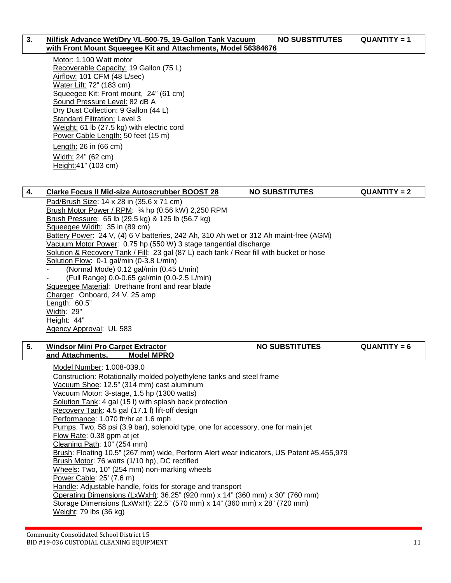#### **3. Nilfisk Advance Wet/Dry VL-500-75, 19-Gallon Tank Vacuum MO SUBSTITUTES QUANTITY = 1 with Front Mount Squeegee Kit and Attachments, Model 56384676**

Motor: 1,100 Watt motor Recoverable Capacity: 19 Gallon (75 L) Airflow: 101 CFM (48 L/sec) Water Lift: 72" (183 cm) Squeegee Kit: Front mount, 24" (61 cm) Sound Pressure Level: 82 dB A Dry Dust Collection: 9 Gallon (44 L) Standard Filtration: Level 3 Weight: 61 lb (27.5 kg) with electric cord Power Cable Length: 50 feet (15 m) Length: 26 in (66 cm) Width: 24" (62 cm) Height:41" (103 cm)

# **4. Clarke Focus II Mid-size Autoscrubber BOOST 28 NO SUBSTITUTES QUANTITY = 2**

Pad/Brush Size: 14 x 28 in (35.6 x 71 cm) Brush Motor Power / RPM: ¾ hp (0.56 kW) 2,250 RPM Brush Pressure: 65 lb (29.5 kg) & 125 lb (56.7 kg) Squeegee Width: 35 in (89 cm) Battery Power: 24 V, (4) 6 V batteries, 242 Ah, 310 Ah wet or 312 Ah maint-free (AGM) Vacuum Motor Power: 0.75 hp (550 W) 3 stage tangential discharge Solution & Recovery Tank / Fill: 23 gal (87 L) each tank / Rear fill with bucket or hose Solution Flow: 0-1 gal/min (0-3.8 L/min) (Normal Mode) 0.12 gal/min (0.45 L/min) - (Full Range) 0.0-0.65 gal/min (0.0-2.5 L/min) Squeegee Material: Urethane front and rear blade Charger: Onboard, 24 V, 25 amp Length: 60.5" Width: 29" Height: 44"

# Agency Approval: UL 583

#### 5. **Windsor Mini Pro Carpet Extractor NO SUBSTITUTES** QUANTITY = 6<br>and Attachments, Model MPRO **and Attachments,**

Model Number: 1.008-039.0 Construction: Rotationally molded polyethylene tanks and steel frame Vacuum Shoe: 12.5" (314 mm) cast aluminum Vacuum Motor: 3-stage, 1.5 hp (1300 watts) Solution Tank: 4 gal (15 l) with splash back protection Recovery Tank: 4.5 gal (17.1 l) lift-off design <u>Performance</u>: 1.070 ft<sup>,</sup>/hr at 1.6 mph Pumps: Two, 58 psi (3.9 bar), solenoid type, one for accessory, one for main jet Flow Rate: 0.38 gpm at jet Cleaning Path: 10" (254 mm) Brush: Floating 10.5" (267 mm) wide, Perform Alert wear indicators, US Patent #5,455,979 Brush Motor: 76 watts (1/10 hp), DC rectified Wheels: Two, 10" (254 mm) non-marking wheels Power Cable: 25' (7.6 m) Handle: Adjustable handle, folds for storage and transport Operating Dimensions (LxWxH): 36.25" (920 mm) x 14" (360 mm) x 30" (760 mm) Storage Dimensions (LxWxH): 22.5" (570 mm) x 14" (360 mm) x 28" (720 mm) Weight: 79 lbs (36 kg)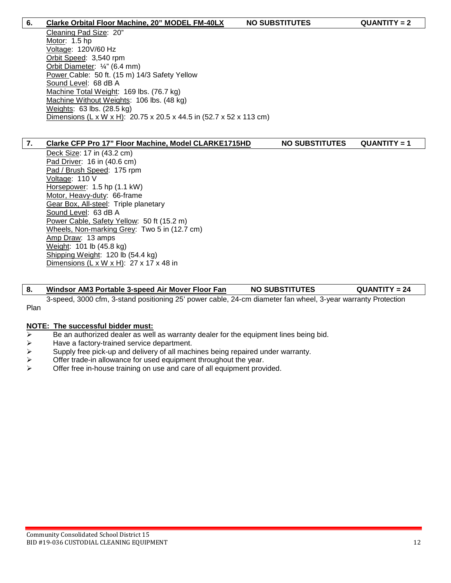#### **6. Clarke Orbital Floor Machine, 20" MODEL FM-40LX NO SUBSTITUTES QUANTITY = 2**

Cleaning Pad Size: 20" Motor: 1.5 hp Voltage: 120V/60 Hz Orbit Speed: 3,540 rpm Orbit Diameter: ¼" (6.4 mm) Power Cable: 50 ft. (15 m) 14/3 Safety Yellow Sound Level: 68 dB A Machine Total Weight: 169 lbs. (76.7 kg) Machine Without Weights: 106 lbs. (48 kg) Weights: 63 lbs. (28.5 kg) Dimensions (L x W x H): 20.75 x 20.5 x 44.5 in (52.7 x 52 x 113 cm)

#### **7. Clarke CFP Pro 17" Floor Machine, Model CLARKE1715HD NO SUBSTITUTES QUANTITY = 1**

Deck Size: 17 in (43.2 cm) Pad Driver: 16 in (40.6 cm) Pad / Brush Speed: 175 rpm Voltage: 110 V Horsepower: 1.5 hp (1.1 kW) Motor, Heavy-duty: 66-frame Gear Box, All-steel: Triple planetary Sound Level: 63 dB A Power Cable, Safety Yellow: 50 ft (15.2 m) Wheels, Non-marking Grey: Two 5 in (12.7 cm) Amp Draw: 13 amps Weight: 101 lb (45.8 kg) Shipping Weight: 120 lb (54.4 kg) Dimensions (L x W x H): 27 x 17 x 48 in

# **8. Windsor AM3 Portable 3-speed Air Mover Floor Fan NO SUBSTITUTES QUANTITY = 24**

3-speed, 3000 cfm, 3-stand positioning 25' power cable, 24-cm diameter fan wheel, 3-year warranty Protection Plan

#### **NOTE: The successful bidder must:**

- $\triangleright$  Be an authorized dealer as well as warranty dealer for the equipment lines being bid.
- $\triangleright$  Have a factory-trained service department.
- $\triangleright$  Supply free pick-up and delivery of all machines being repaired under warranty.
- $\triangleright$  Offer trade-in allowance for used equipment throughout the year.<br>  $\triangleright$  Offer free in-house training on use and care of all equipment prov
- Offer free in-house training on use and care of all equipment provided.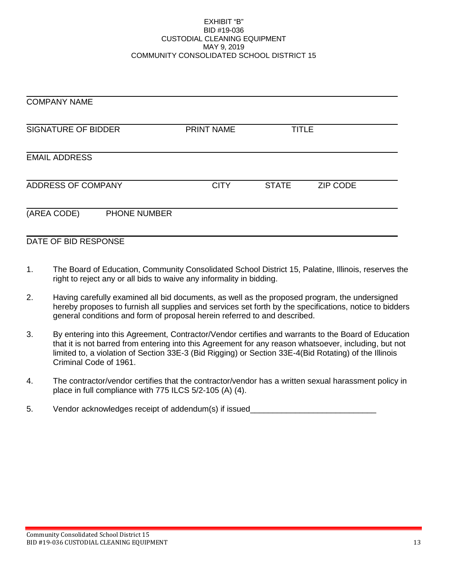#### EXHIBIT "B" BID #19-036 CUSTODIAL CLEANING EQUIPMENT MAY 9, 2019 COMMUNITY CONSOLIDATED SCHOOL DISTRICT 15

| <b>COMPANY NAME</b>        |              |                   |              |          |  |  |
|----------------------------|--------------|-------------------|--------------|----------|--|--|
| <b>SIGNATURE OF BIDDER</b> |              | <b>PRINT NAME</b> | <b>TITLE</b> |          |  |  |
| <b>EMAIL ADDRESS</b>       |              |                   |              |          |  |  |
| ADDRESS OF COMPANY         |              | <b>CITY</b>       | <b>STATE</b> | ZIP CODE |  |  |
| (AREA CODE)                | PHONE NUMBER |                   |              |          |  |  |
| DATE OF BID RESPONSE       |              |                   |              |          |  |  |

# 1. The Board of Education, Community Consolidated School District 15, Palatine, Illinois, reserves the right to reject any or all bids to waive any informality in bidding.

- 2. Having carefully examined all bid documents, as well as the proposed program, the undersigned hereby proposes to furnish all supplies and services set forth by the specifications, notice to bidders general conditions and form of proposal herein referred to and described.
- 3. By entering into this Agreement, Contractor/Vendor certifies and warrants to the Board of Education that it is not barred from entering into this Agreement for any reason whatsoever, including, but not limited to, a violation of Section 33E-3 (Bid Rigging) or Section 33E-4(Bid Rotating) of the Illinois Criminal Code of 1961.
- 4. The contractor/vendor certifies that the contractor/vendor has a written sexual harassment policy in place in full compliance with 775 ILCS 5/2-105 (A) (4).
- 5. Vendor acknowledges receipt of addendum(s) if issued\_\_\_\_\_\_\_\_\_\_\_\_\_\_\_\_\_\_\_\_\_\_\_\_\_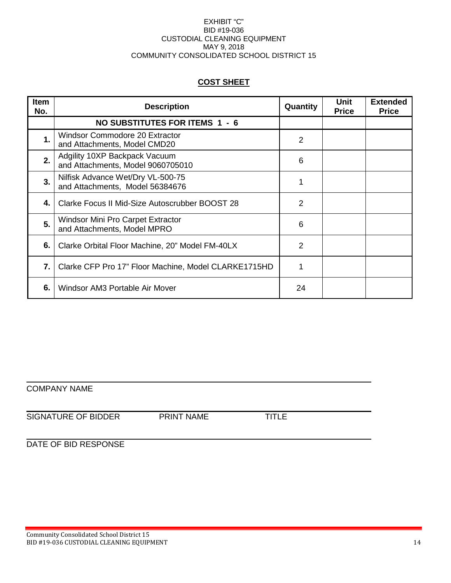#### EXHIBIT "C" BID #19-036 CUSTODIAL CLEANING EQUIPMENT MAY 9, 2018 COMMUNITY CONSOLIDATED SCHOOL DISTRICT 15

# **COST SHEET**

| <b>Item</b><br>No. | <b>Description</b>                                                      | Quantity       | Unit<br><b>Price</b> | <b>Extended</b><br><b>Price</b> |
|--------------------|-------------------------------------------------------------------------|----------------|----------------------|---------------------------------|
|                    | NO SUBSTITUTES FOR ITEMS 1 - 6                                          |                |                      |                                 |
| $\mathbf 1$        | <b>Windsor Commodore 20 Extractor</b><br>and Attachments, Model CMD20   | $\overline{2}$ |                      |                                 |
| 2.                 | Adgility 10XP Backpack Vacuum<br>and Attachments, Model 9060705010      | 6              |                      |                                 |
| 3.                 | Nilfisk Advance Wet/Dry VL-500-75<br>and Attachments, Model 56384676    |                |                      |                                 |
| 4.                 | Clarke Focus II Mid-Size Autoscrubber BOOST 28                          | 2              |                      |                                 |
| 5.                 | <b>Windsor Mini Pro Carpet Extractor</b><br>and Attachments, Model MPRO | 6              |                      |                                 |
| 6.                 | Clarke Orbital Floor Machine, 20" Model FM-40LX                         | $\overline{2}$ |                      |                                 |
| 7.                 | Clarke CFP Pro 17" Floor Machine, Model CLARKE1715HD                    |                |                      |                                 |
| 6.                 | Windsor AM3 Portable Air Mover                                          | 24             |                      |                                 |

# COMPANY NAME

# SIGNATURE OF BIDDER PRINT NAME TITLE

# DATE OF BID RESPONSE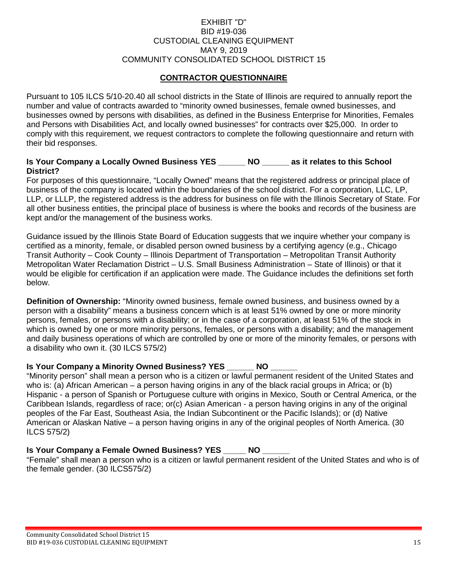# EXHIBIT "D" BID #19-036 CUSTODIAL CLEANING EQUIPMENT MAY 9, 2019 COMMUNITY CONSOLIDATED SCHOOL DISTRICT 15

# **CONTRACTOR QUESTIONNAIRE**

Pursuant to 105 ILCS 5/10-20.40 all school districts in the State of Illinois are required to annually report the number and value of contracts awarded to "minority owned businesses, female owned businesses, and businesses owned by persons with disabilities, as defined in the Business Enterprise for Minorities, Females and Persons with Disabilities Act, and locally owned businesses" for contracts over \$25,000. In order to comply with this requirement, we request contractors to complete the following questionnaire and return with their bid responses.

# **Is Your Company a Locally Owned Business YES \_\_\_\_\_\_ NO \_\_\_\_\_\_ as it relates to this School District?**

For purposes of this questionnaire, "Locally Owned" means that the registered address or principal place of business of the company is located within the boundaries of the school district. For a corporation, LLC, LP, LLP, or LLLP, the registered address is the address for business on file with the Illinois Secretary of State. For all other business entities, the principal place of business is where the books and records of the business are kept and/or the management of the business works.

Guidance issued by the Illinois State Board of Education suggests that we inquire whether your company is certified as a minority, female, or disabled person owned business by a certifying agency (e.g., Chicago Transit Authority – Cook County – Illinois Department of Transportation – Metropolitan Transit Authority Metropolitan Water Reclamation District – U.S. Small Business Administration – State of Illinois) or that it would be eligible for certification if an application were made. The Guidance includes the definitions set forth below.

**Definition of Ownership:** "Minority owned business, female owned business, and business owned by a person with a disability" means a business concern which is at least 51% owned by one or more minority persons, females, or persons with a disability; or in the case of a corporation, at least 51% of the stock in which is owned by one or more minority persons, females, or persons with a disability; and the management and daily business operations of which are controlled by one or more of the minority females, or persons with a disability who own it. (30 ILCS 575/2)

## **Is Your Company a Minority Owned Business? YES \_\_\_\_\_\_ NO**

"Minority person" shall mean a person who is a citizen or lawful permanent resident of the United States and who is: (a) African American – a person having origins in any of the black racial groups in Africa; or (b) Hispanic - a person of Spanish or Portuguese culture with origins in Mexico, South or Central America, or the Caribbean Islands, regardless of race; or(c) Asian American - a person having origins in any of the original peoples of the Far East, Southeast Asia, the Indian Subcontinent or the Pacific Islands); or (d) Native American or Alaskan Native – a person having origins in any of the original peoples of North America. (30 ILCS 575/2)

# **Is Your Company a Female Owned Business? YES \_\_\_\_\_ NO \_\_\_\_\_\_**

"Female" shall mean a person who is a citizen or lawful permanent resident of the United States and who is of the female gender. (30 ILCS575/2)